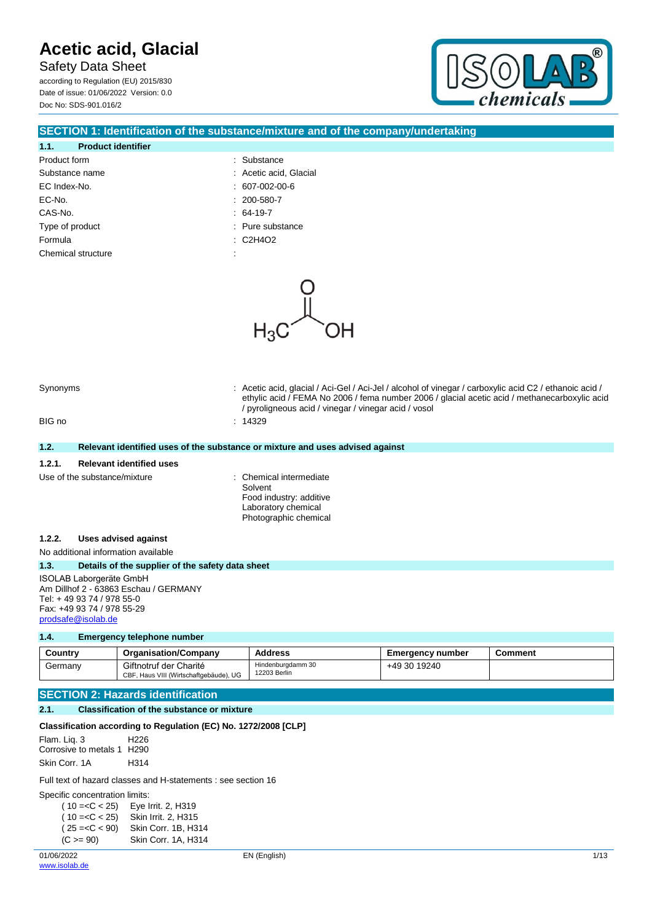Safety Data Sheet according to Regulation (EU) 2015/830 Date of issue: 01/06/2022 Version: 0.0 Doc No: SDS-901.016/2



### **SECTION 1: Identification of the substance/mixture and of the company/undertaking**

### **1.1. Product identifier** Product form  $\qquad \qquad$ : Substance Substance name  $\qquad \qquad$ : Acetic acid, Glacial EC Index-No. : 607-002-00-6 EC-No. : 200-580-7

- CAS-No. : 64-19-7 Type of product in the contract of the contract of the contract of the contract of the contract of the contract of the contract of the contract of the contract of the contract of the contract of the contract of the contrac
	-
- Formula : C2H4O2
- Chemical structure  $\blacksquare$



Synonyms **in the synonyms** : Acetic acid, glacial / Aci-Gel / Aci-Jel / alcohol of vinegar / carboxylic acid C2 / ethanoic acid /

|        |                                                                                                                                                   | ethylic acid / FEMA No 2006 / fema number 2006 / glacial acetic acid / methanecarboxylic acid<br>/ pyroligneous acid / vinegar / vinegar acid / vosol |
|--------|---------------------------------------------------------------------------------------------------------------------------------------------------|-------------------------------------------------------------------------------------------------------------------------------------------------------|
| BIG no |                                                                                                                                                   | : 14329                                                                                                                                               |
| 1.2.   |                                                                                                                                                   | Relevant identified uses of the substance or mixture and uses advised against                                                                         |
| 1.2.1. | <b>Relevant identified uses</b>                                                                                                                   |                                                                                                                                                       |
|        | Use of the substance/mixture                                                                                                                      | : Chemical intermediate<br>Solvent<br>Food industry: additive<br>Laboratory chemical<br>Photographic chemical                                         |
| 1.2.2. | Uses advised against                                                                                                                              |                                                                                                                                                       |
|        | No additional information available                                                                                                               |                                                                                                                                                       |
| 1.3.   | Details of the supplier of the safety data sheet                                                                                                  |                                                                                                                                                       |
|        | ISOLAB Laborgeräte GmbH<br>Am Dillhof 2 - 63863 Eschau / GERMANY<br>Tel: +49 93 74 / 978 55-0<br>Fax: +49 93 74 / 978 55-29<br>prodsafe@isolab.de |                                                                                                                                                       |
| 1.4.   | <b>Emergency telephone number</b>                                                                                                                 |                                                                                                                                                       |

#### **Country Organisation/Company Address Emergency number Comment** Germany Giftnotruf der Charité CBF, Haus VIII (Wirtschaftgebäude), UG Hindenburgdamm 30 12203 Berlin +49 30 19240

### **SECTION 2: Hazards identification**

### **2.1. Classification of the substance or mixture**

| Classification according to Regulation (EC) No. 1272/2008 [CLP] |      |  |  |  |
|-----------------------------------------------------------------|------|--|--|--|
| Flam. Lig. 3<br>Corrosive to metals 1 H290                      | H226 |  |  |  |
| Skin Corr. 1A                                                   | H314 |  |  |  |

Full text of hazard classes and H-statements : see section 16

Specific concentration limits:

| $(10=$          | Eye Irrit. 2, H319  |
|-----------------|---------------------|
| $(10=$          | Skin Irrit. 2, H315 |
| $(25 = C < 90)$ | Skin Corr. 1B, H314 |
| $(C >= 90)$     | Skin Corr. 1A, H314 |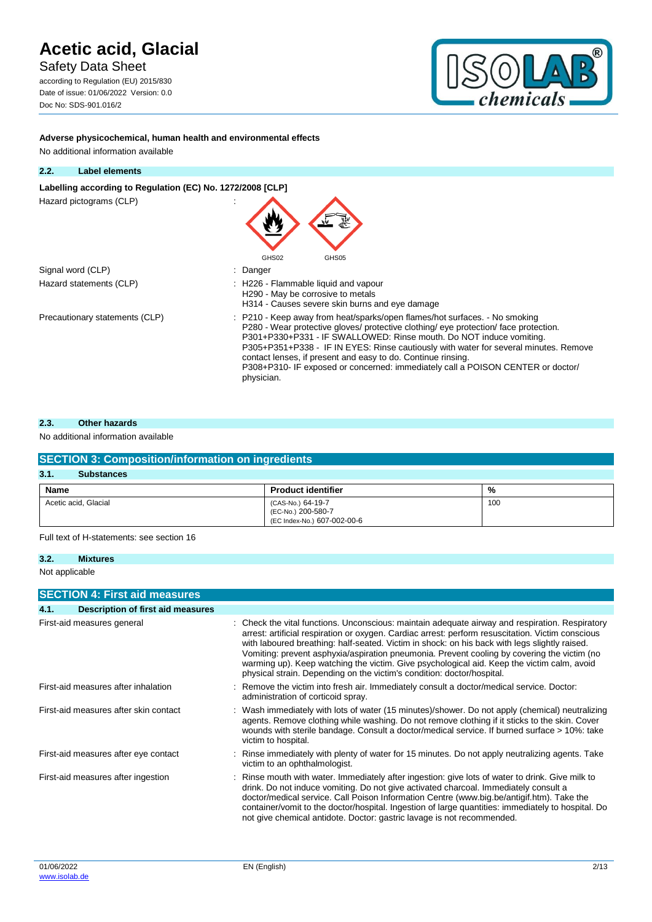Safety Data Sheet

according to Regulation (EU) 2015/830 Date of issue: 01/06/2022 Version: 0.0 Doc No: SDS-901.016/2



**Adverse physicochemical, human health and environmental effects**

| 2.2. | Label elements                                             |                                                                                                                                                                                                                                                                                                                                                                                                                                                                                                    |
|------|------------------------------------------------------------|----------------------------------------------------------------------------------------------------------------------------------------------------------------------------------------------------------------------------------------------------------------------------------------------------------------------------------------------------------------------------------------------------------------------------------------------------------------------------------------------------|
|      | Labelling according to Regulation (EC) No. 1272/2008 [CLP] |                                                                                                                                                                                                                                                                                                                                                                                                                                                                                                    |
|      | Hazard pictograms (CLP)                                    |                                                                                                                                                                                                                                                                                                                                                                                                                                                                                                    |
|      | Signal word (CLP)                                          | GHS02<br>GHS05<br>: Danger                                                                                                                                                                                                                                                                                                                                                                                                                                                                         |
|      | Hazard statements (CLP)                                    | : H226 - Flammable liquid and vapour<br>H290 - May be corrosive to metals<br>H314 - Causes severe skin burns and eye damage                                                                                                                                                                                                                                                                                                                                                                        |
|      | Precautionary statements (CLP)                             | : P210 - Keep away from heat/sparks/open flames/hot surfaces. - No smoking<br>P280 - Wear protective gloves/ protective clothing/ eye protection/ face protection.<br>P301+P330+P331 - IF SWALLOWED: Rinse mouth. Do NOT induce vomiting.<br>P305+P351+P338 - IF IN EYES: Rinse cautiously with water for several minutes. Remove<br>contact lenses, if present and easy to do. Continue rinsing.<br>P308+P310- IF exposed or concerned: immediately call a POISON CENTER or doctor/<br>physician. |

### **2.3. Other hazards**

### No additional information available

| <b>SECTION 3: Composition/information on ingredients</b> |                                                                        |     |  |
|----------------------------------------------------------|------------------------------------------------------------------------|-----|--|
| 3.1.<br><b>Substances</b>                                |                                                                        |     |  |
| Name                                                     | <b>Product identifier</b>                                              | %   |  |
| Acetic acid, Glacial                                     | (CAS-No.) 64-19-7<br>(EC-No.) 200-580-7<br>(EC Index-No.) 607-002-00-6 | 100 |  |

Full text of H-statements: see section 16

Not applicable

|      | <b>SECTION 4: First aid measures</b>     |                                                                                                                                                                                                                                                                                                                                                                                                                                                                                                                                                                              |
|------|------------------------------------------|------------------------------------------------------------------------------------------------------------------------------------------------------------------------------------------------------------------------------------------------------------------------------------------------------------------------------------------------------------------------------------------------------------------------------------------------------------------------------------------------------------------------------------------------------------------------------|
| 4.1. | <b>Description of first aid measures</b> |                                                                                                                                                                                                                                                                                                                                                                                                                                                                                                                                                                              |
|      | First-aid measures general               | : Check the vital functions. Unconscious: maintain adequate airway and respiration. Respiratory<br>arrest: artificial respiration or oxygen. Cardiac arrest: perform resuscitation. Victim conscious<br>with laboured breathing: half-seated. Victim in shock: on his back with legs slightly raised.<br>Vomiting: prevent asphyxia/aspiration pneumonia. Prevent cooling by covering the victim (no<br>warming up). Keep watching the victim. Give psychological aid. Keep the victim calm, avoid<br>physical strain. Depending on the victim's condition: doctor/hospital. |
|      | First-aid measures after inhalation      | : Remove the victim into fresh air. Immediately consult a doctor/medical service. Doctor:<br>administration of corticoid spray.                                                                                                                                                                                                                                                                                                                                                                                                                                              |
|      | First-aid measures after skin contact    | : Wash immediately with lots of water (15 minutes)/shower. Do not apply (chemical) neutralizing<br>agents. Remove clothing while washing. Do not remove clothing if it sticks to the skin. Cover<br>wounds with sterile bandage. Consult a doctor/medical service. If burned surface > 10%: take<br>victim to hospital.                                                                                                                                                                                                                                                      |
|      | First-aid measures after eye contact     | : Rinse immediately with plenty of water for 15 minutes. Do not apply neutralizing agents. Take<br>victim to an ophthalmologist.                                                                                                                                                                                                                                                                                                                                                                                                                                             |
|      | First-aid measures after ingestion       | : Rinse mouth with water. Immediately after ingestion: give lots of water to drink. Give milk to<br>drink. Do not induce vomiting. Do not give activated charcoal. Immediately consult a<br>doctor/medical service. Call Poison Information Centre (www.big.be/antigif.htm). Take the<br>container/vomit to the doctor/hospital. Ingestion of large quantities: immediately to hospital. Do<br>not give chemical antidote. Doctor: gastric lavage is not recommended.                                                                                                        |

**<sup>3.2.</sup> Mixtures**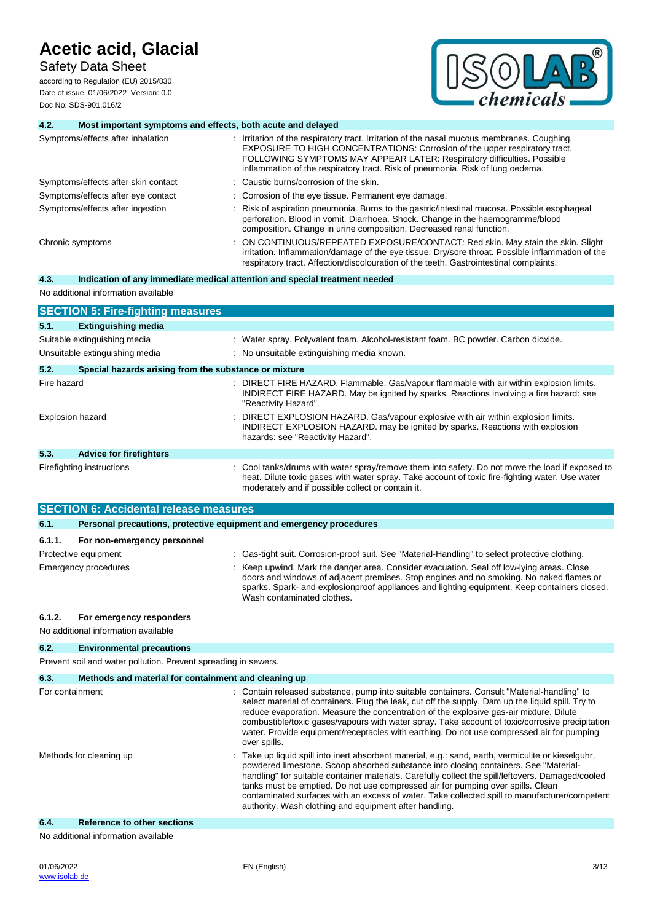Safety Data Sheet

according to Regulation (EU) 2015/830 Date of issue: 01/06/2022 Version: 0.0 Doc No: SDS-901.016/2



| 4.2.                                                           | Most important symptoms and effects, both acute and delayed         |                                                                                                                                                                                                                                                                                                                                                                                               |  |  |  |
|----------------------------------------------------------------|---------------------------------------------------------------------|-----------------------------------------------------------------------------------------------------------------------------------------------------------------------------------------------------------------------------------------------------------------------------------------------------------------------------------------------------------------------------------------------|--|--|--|
|                                                                | Symptoms/effects after inhalation                                   | : Irritation of the respiratory tract. Irritation of the nasal mucous membranes. Coughing.<br>EXPOSURE TO HIGH CONCENTRATIONS: Corrosion of the upper respiratory tract.<br>FOLLOWING SYMPTOMS MAY APPEAR LATER: Respiratory difficulties. Possible<br>inflammation of the respiratory tract. Risk of pneumonia. Risk of lung oedema.                                                         |  |  |  |
|                                                                | Symptoms/effects after skin contact                                 | Caustic burns/corrosion of the skin.                                                                                                                                                                                                                                                                                                                                                          |  |  |  |
|                                                                | Symptoms/effects after eye contact                                  | : Corrosion of the eye tissue. Permanent eye damage.                                                                                                                                                                                                                                                                                                                                          |  |  |  |
|                                                                | Symptoms/effects after ingestion                                    | : Risk of aspiration pneumonia. Burns to the gastric/intestinal mucosa. Possible esophageal<br>perforation. Blood in vomit. Diarrhoea. Shock. Change in the haemogramme/blood<br>composition. Change in urine composition. Decreased renal function.                                                                                                                                          |  |  |  |
|                                                                | Chronic symptoms                                                    | ON CONTINUOUS/REPEATED EXPOSURE/CONTACT: Red skin. May stain the skin. Slight<br>irritation. Inflammation/damage of the eye tissue. Dry/sore throat. Possible inflammation of the<br>respiratory tract. Affection/discolouration of the teeth. Gastrointestinal complaints.                                                                                                                   |  |  |  |
| 4.3.                                                           |                                                                     | Indication of any immediate medical attention and special treatment needed                                                                                                                                                                                                                                                                                                                    |  |  |  |
|                                                                | No additional information available                                 |                                                                                                                                                                                                                                                                                                                                                                                               |  |  |  |
|                                                                | <b>SECTION 5: Fire-fighting measures</b>                            |                                                                                                                                                                                                                                                                                                                                                                                               |  |  |  |
| 5.1.                                                           | <b>Extinguishing media</b>                                          |                                                                                                                                                                                                                                                                                                                                                                                               |  |  |  |
|                                                                | Suitable extinguishing media                                        | : Water spray. Polyvalent foam. Alcohol-resistant foam. BC powder. Carbon dioxide.                                                                                                                                                                                                                                                                                                            |  |  |  |
|                                                                | Unsuitable extinguishing media                                      | : No unsuitable extinguishing media known.                                                                                                                                                                                                                                                                                                                                                    |  |  |  |
| 5.2.                                                           | Special hazards arising from the substance or mixture               |                                                                                                                                                                                                                                                                                                                                                                                               |  |  |  |
| Fire hazard                                                    |                                                                     | : DIRECT FIRE HAZARD. Flammable. Gas/vapour flammable with air within explosion limits.                                                                                                                                                                                                                                                                                                       |  |  |  |
|                                                                |                                                                     | INDIRECT FIRE HAZARD. May be ignited by sparks. Reactions involving a fire hazard: see<br>"Reactivity Hazard".                                                                                                                                                                                                                                                                                |  |  |  |
|                                                                | <b>Explosion hazard</b>                                             | DIRECT EXPLOSION HAZARD. Gas/vapour explosive with air within explosion limits.<br>INDIRECT EXPLOSION HAZARD. may be ignited by sparks. Reactions with explosion<br>hazards: see "Reactivity Hazard".                                                                                                                                                                                         |  |  |  |
| 5.3.                                                           | <b>Advice for firefighters</b>                                      |                                                                                                                                                                                                                                                                                                                                                                                               |  |  |  |
|                                                                | Firefighting instructions                                           | : Cool tanks/drums with water spray/remove them into safety. Do not move the load if exposed to<br>heat. Dilute toxic gases with water spray. Take account of toxic fire-fighting water. Use water<br>moderately and if possible collect or contain it.                                                                                                                                       |  |  |  |
|                                                                | <b>SECTION 6: Accidental release measures</b>                       |                                                                                                                                                                                                                                                                                                                                                                                               |  |  |  |
| 6.1.                                                           | Personal precautions, protective equipment and emergency procedures |                                                                                                                                                                                                                                                                                                                                                                                               |  |  |  |
| 6.1.1.                                                         | For non-emergency personnel                                         |                                                                                                                                                                                                                                                                                                                                                                                               |  |  |  |
|                                                                | Protective equipment                                                | : Gas-tight suit. Corrosion-proof suit. See "Material-Handling" to select protective clothing.                                                                                                                                                                                                                                                                                                |  |  |  |
|                                                                | <b>Emergency procedures</b>                                         | : Keep upwind. Mark the danger area. Consider evacuation. Seal off low-lying areas. Close                                                                                                                                                                                                                                                                                                     |  |  |  |
|                                                                |                                                                     | doors and windows of adjacent premises. Stop engines and no smoking. No naked flames or<br>sparks. Spark- and explosionproof appliances and lighting equipment. Keep containers closed.<br>Wash contaminated clothes.                                                                                                                                                                         |  |  |  |
| 6.1.2.                                                         | For emergency responders<br>No additional information available     |                                                                                                                                                                                                                                                                                                                                                                                               |  |  |  |
| 6.2.                                                           | <b>Environmental precautions</b>                                    |                                                                                                                                                                                                                                                                                                                                                                                               |  |  |  |
| Prevent soil and water pollution. Prevent spreading in sewers. |                                                                     |                                                                                                                                                                                                                                                                                                                                                                                               |  |  |  |
| 6.3.<br>Methods and material for containment and cleaning up   |                                                                     |                                                                                                                                                                                                                                                                                                                                                                                               |  |  |  |
| For containment                                                |                                                                     | : Contain released substance, pump into suitable containers. Consult "Material-handling" to<br>select material of containers. Plug the leak, cut off the supply. Dam up the liquid spill. Try to<br>reduce evaporation. Measure the concentration of the explosive gas-air mixture. Dilute<br>combustible/toxic gases/vapours with water spray. Take account of toxic/corrosive precipitation |  |  |  |

water. Provide equipment/receptacles with earthing. Do not use compressed air for pumping over spills. Methods for cleaning up **into the Clean into intert absorbent material, e.g.: sand, earth, vermiculite or kieselguhr,** powdered limestone. Scoop absorbed substance into closing containers. See "Materialhandling" for suitable container materials. Carefully collect the spill/leftovers. Damaged/cooled tanks must be emptied. Do not use compressed air for pumping over spills. Clean contaminated surfaces with an excess of water. Take collected spill to manufacturer/competent authority. Wash clothing and equipment after handling.

### **6.4. Reference to other sections**

No additional information available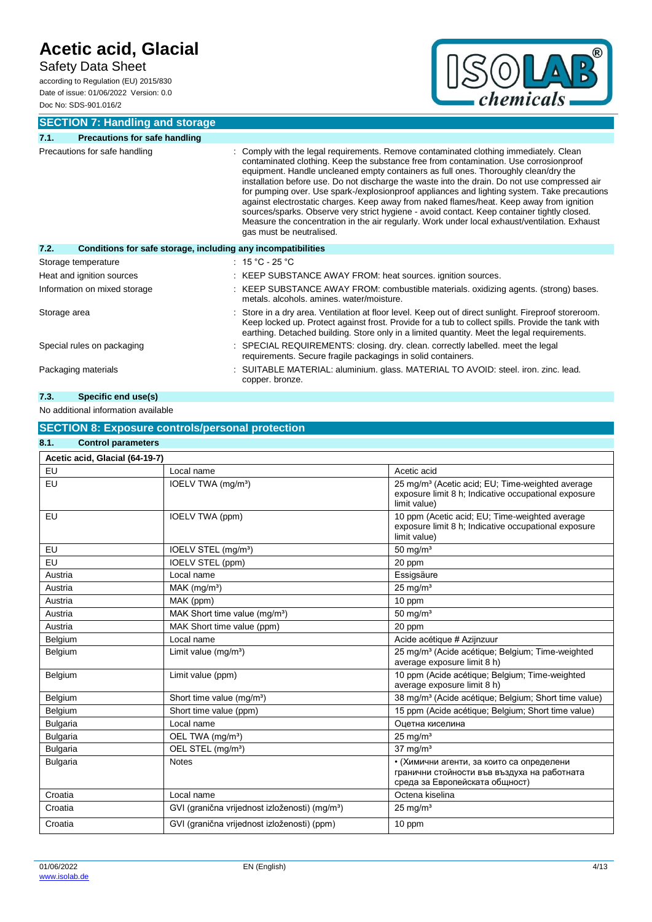### Safety Data Sheet

according to Regulation (EU) 2015/830 Date of issue: 01/06/2022 Version: 0.0 Doc No: SDS-901.016/2



**SECTION 7: Handling and storage**

| 7.1.                         | <b>Precautions for safe handling</b>                         |  |                                                                                                                                                                                                                                                                                                                                                                                                                                                                                                                                                                                                                                                                                                                                                                                              |  |
|------------------------------|--------------------------------------------------------------|--|----------------------------------------------------------------------------------------------------------------------------------------------------------------------------------------------------------------------------------------------------------------------------------------------------------------------------------------------------------------------------------------------------------------------------------------------------------------------------------------------------------------------------------------------------------------------------------------------------------------------------------------------------------------------------------------------------------------------------------------------------------------------------------------------|--|
|                              | Precautions for safe handling                                |  | Comply with the legal requirements. Remove contaminated clothing immediately. Clean<br>contaminated clothing. Keep the substance free from contamination. Use corrosionproof<br>equipment. Handle uncleaned empty containers as full ones. Thoroughly clean/dry the<br>installation before use. Do not discharge the waste into the drain. Do not use compressed air<br>for pumping over. Use spark-/explosionproof appliances and lighting system. Take precautions<br>against electrostatic charges. Keep away from naked flames/heat. Keep away from ignition<br>sources/sparks. Observe very strict hygiene - avoid contact. Keep container tightly closed.<br>Measure the concentration in the air regularly. Work under local exhaust/ventilation. Exhaust<br>gas must be neutralised. |  |
| 7.2.                         | Conditions for safe storage, including any incompatibilities |  |                                                                                                                                                                                                                                                                                                                                                                                                                                                                                                                                                                                                                                                                                                                                                                                              |  |
|                              | Storage temperature                                          |  | : $15 °C - 25 °C$                                                                                                                                                                                                                                                                                                                                                                                                                                                                                                                                                                                                                                                                                                                                                                            |  |
|                              | Heat and ignition sources                                    |  | : KEEP SUBSTANCE AWAY FROM: heat sources. ignition sources.                                                                                                                                                                                                                                                                                                                                                                                                                                                                                                                                                                                                                                                                                                                                  |  |
| Information on mixed storage |                                                              |  | : KEEP SUBSTANCE AWAY FROM: combustible materials. oxidizing agents. (strong) bases.<br>metals, alcohols, amines, water/moisture,                                                                                                                                                                                                                                                                                                                                                                                                                                                                                                                                                                                                                                                            |  |
| Storage area                 |                                                              |  | Store in a dry area. Ventilation at floor level. Keep out of direct sunlight. Fireproof storeroom.<br>Keep locked up. Protect against frost. Provide for a tub to collect spills. Provide the tank with<br>earthing. Detached building. Store only in a limited quantity. Meet the legal requirements.                                                                                                                                                                                                                                                                                                                                                                                                                                                                                       |  |
| Special rules on packaging   |                                                              |  | SPECIAL REQUIREMENTS: closing. dry. clean. correctly labelled. meet the legal<br>requirements. Secure fragile packagings in solid containers.                                                                                                                                                                                                                                                                                                                                                                                                                                                                                                                                                                                                                                                |  |
|                              | Packaging materials                                          |  | : SUITABLE MATERIAL: aluminium. glass. MATERIAL TO AVOID: steel. iron. zinc. lead.<br>copper. bronze.                                                                                                                                                                                                                                                                                                                                                                                                                                                                                                                                                                                                                                                                                        |  |

### **7.3. Specific end use(s)**

### No additional information available

#### **SECTION 8: Exposure controls/personal protection 8.1. Control parameters**

| <b>UUITUU parameters</b>       |                                                            |                                                                                                                                      |  |  |
|--------------------------------|------------------------------------------------------------|--------------------------------------------------------------------------------------------------------------------------------------|--|--|
| Acetic acid, Glacial (64-19-7) |                                                            |                                                                                                                                      |  |  |
| EU                             | Local name                                                 | Acetic acid                                                                                                                          |  |  |
| EU                             | IOELV TWA (mg/m <sup>3</sup> )                             | 25 mg/m <sup>3</sup> (Acetic acid; EU; Time-weighted average<br>exposure limit 8 h; Indicative occupational exposure<br>limit value) |  |  |
| EU                             | IOELV TWA (ppm)                                            | 10 ppm (Acetic acid; EU; Time-weighted average<br>exposure limit 8 h; Indicative occupational exposure<br>limit value)               |  |  |
| EU                             | IOELV STEL (mg/m <sup>3</sup> )                            | 50 mg/ $m3$                                                                                                                          |  |  |
| EU                             | <b>IOELV STEL (ppm)</b>                                    | 20 ppm                                                                                                                               |  |  |
| Austria                        | Local name                                                 | Essigsäure                                                                                                                           |  |  |
| Austria                        | MAK (mg/m <sup>3</sup> )                                   | $25$ mg/m <sup>3</sup>                                                                                                               |  |  |
| Austria                        | MAK (ppm)                                                  | 10 ppm                                                                                                                               |  |  |
| Austria                        | MAK Short time value (mg/m <sup>3</sup> )                  | $50 \text{ mg/m}^3$                                                                                                                  |  |  |
| Austria                        | MAK Short time value (ppm)                                 | 20 ppm                                                                                                                               |  |  |
| Belgium                        | Local name                                                 | Acide acétique # Azijnzuur                                                                                                           |  |  |
| Belgium                        | Limit value $(mq/m3)$                                      | 25 mg/m <sup>3</sup> (Acide acétique; Belgium; Time-weighted<br>average exposure limit 8 h)                                          |  |  |
| Belgium                        | Limit value (ppm)                                          | 10 ppm (Acide acétique; Belgium; Time-weighted<br>average exposure limit 8 h)                                                        |  |  |
| Belgium                        | Short time value (mg/m <sup>3</sup> )                      | 38 mg/m <sup>3</sup> (Acide acétique; Belgium; Short time value)                                                                     |  |  |
| Belgium                        | Short time value (ppm)                                     | 15 ppm (Acide acétique; Belgium; Short time value)                                                                                   |  |  |
| <b>Bulgaria</b>                | Local name                                                 | Оцетна киселина                                                                                                                      |  |  |
| <b>Bulgaria</b>                | OEL TWA (mg/m <sup>3</sup> )                               | $25 \text{ mg/m}^3$                                                                                                                  |  |  |
| <b>Bulgaria</b>                | OEL STEL (mg/m <sup>3</sup> )                              | $37 \text{ ma/m}^3$                                                                                                                  |  |  |
| <b>Bulgaria</b>                | <b>Notes</b>                                               | • (Химични агенти, за които са определени<br>гранични стойности във въздуха на работната<br>среда за Европейската общност)           |  |  |
| Croatia                        | Local name                                                 | Octena kiselina                                                                                                                      |  |  |
| Croatia                        | GVI (granična vrijednost izloženosti) (mg/m <sup>3</sup> ) | $25 \text{ mg/m}^3$                                                                                                                  |  |  |
| Croatia                        | GVI (granična vrijednost izloženosti) (ppm)                | 10 ppm                                                                                                                               |  |  |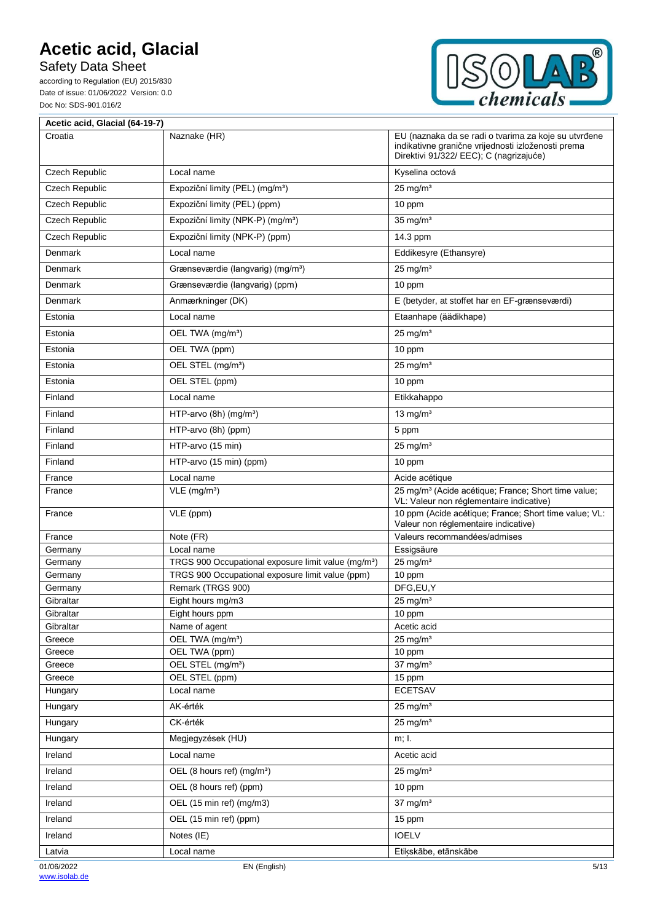Safety Data Sheet

according to Regulation (EU) 2015/830 Date of issue: 01/06/2022 Version: 0.0 Doc No: SDS-901.016/2



 $\overline{\mathbf{1}}$ 

| Acetic acid, Glacial (64-19-7) |                                                                       |                                                                                                                                                       |
|--------------------------------|-----------------------------------------------------------------------|-------------------------------------------------------------------------------------------------------------------------------------------------------|
| Croatia                        | Naznake (HR)                                                          | EU (naznaka da se radi o tvarima za koje su utvrđene<br>indikativne granične vrijednosti izloženosti prema<br>Direktivi 91/322/ EEC); C (nagrizajuće) |
| Czech Republic                 | Local name                                                            | Kyselina octová                                                                                                                                       |
| Czech Republic                 | Expoziční limity (PEL) (mg/m <sup>3</sup> )                           | $25$ mg/m <sup>3</sup>                                                                                                                                |
| Czech Republic                 | Expoziční limity (PEL) (ppm)                                          | 10 ppm                                                                                                                                                |
| Czech Republic                 | Expoziční limity (NPK-P) (mg/m <sup>3</sup> )                         | $35$ mg/m <sup>3</sup>                                                                                                                                |
| Czech Republic                 | Expoziční limity (NPK-P) (ppm)                                        | 14.3 ppm                                                                                                                                              |
| Denmark                        | Local name                                                            | Eddikesyre (Ethansyre)                                                                                                                                |
| Denmark                        | Grænseværdie (langvarig) (mg/m <sup>3</sup> )                         | $25$ mg/m <sup>3</sup>                                                                                                                                |
| Denmark                        | Grænseværdie (langvarig) (ppm)                                        | 10 ppm                                                                                                                                                |
| Denmark                        | Anmærkninger (DK)                                                     | E (betyder, at stoffet har en EF-grænseværdi)                                                                                                         |
| Estonia                        | Local name                                                            | Etaanhape (äädikhape)                                                                                                                                 |
| Estonia                        | OEL TWA (mg/m <sup>3</sup> )                                          | $25$ mg/m <sup>3</sup>                                                                                                                                |
| Estonia                        | OEL TWA (ppm)                                                         | 10 ppm                                                                                                                                                |
| Estonia                        | OEL STEL (mg/m <sup>3</sup> )                                         | $25$ mg/m <sup>3</sup>                                                                                                                                |
| Estonia                        | OEL STEL (ppm)                                                        | 10 ppm                                                                                                                                                |
| Finland                        | Local name                                                            | Etikkahappo                                                                                                                                           |
| Finland                        | HTP-arvo (8h) (mg/m <sup>3</sup> )                                    | 13 mg/ $m3$                                                                                                                                           |
| Finland                        | HTP-arvo (8h) (ppm)                                                   | 5 ppm                                                                                                                                                 |
| Finland                        | HTP-arvo (15 min)                                                     | $25 \text{ mg/m}^3$                                                                                                                                   |
| Finland                        | HTP-arvo (15 min) (ppm)                                               | 10 ppm                                                                                                                                                |
| France                         | Local name                                                            | Acide acétique                                                                                                                                        |
| France                         | VLE (mg/m <sup>3</sup> )                                              | 25 mg/m <sup>3</sup> (Acide acétique; France; Short time value;<br>VL: Valeur non réglementaire indicative)                                           |
| France                         | VLE (ppm)                                                             | 10 ppm (Acide acétique; France; Short time value; VL:<br>Valeur non réglementaire indicative)                                                         |
| France                         | Note (FR)                                                             | Valeurs recommandées/admises                                                                                                                          |
| Germany                        | Local name                                                            | Essigsäure                                                                                                                                            |
| Germany                        | TRGS 900 Occupational exposure limit value (mg/m <sup>3</sup> )       | $25$ mg/m <sup>3</sup>                                                                                                                                |
| Germany                        | TRGS 900 Occupational exposure limit value (ppm)<br>Remark (TRGS 900) | 10 ppm<br>DFG,EU,Y                                                                                                                                    |
| Germany<br>Gibraltar           | Eight hours mg/m3                                                     | $25 \text{ mg/m}^3$                                                                                                                                   |
| Gibraltar                      | Eight hours ppm                                                       | 10 ppm                                                                                                                                                |
| Gibraltar                      | Name of agent                                                         | Acetic acid                                                                                                                                           |
| Greece                         | OEL TWA (mg/m <sup>3</sup> )                                          | $25 \text{ mg/m}^3$                                                                                                                                   |
| Greece                         | OEL TWA (ppm)                                                         | 10 ppm                                                                                                                                                |
| Greece                         | OEL STEL (mg/m <sup>3</sup> )                                         | $37 \text{ mg/m}^3$                                                                                                                                   |
| Greece                         | OEL STEL (ppm)                                                        | 15 ppm                                                                                                                                                |
| Hungary                        | Local name                                                            | <b>ECETSAV</b>                                                                                                                                        |
| Hungary                        | AK-érték                                                              | $25 \text{ mg/m}^3$                                                                                                                                   |
| Hungary                        | CK-érték<br>Megjegyzések (HU)                                         | $25$ mg/m <sup>3</sup><br>m; I.                                                                                                                       |
| Hungary                        | Local name                                                            |                                                                                                                                                       |
| Ireland<br>Ireland             | OEL (8 hours ref) (mg/m <sup>3</sup> )                                | Acetic acid<br>$25 \text{ mg/m}^3$                                                                                                                    |
| Ireland                        | OEL (8 hours ref) (ppm)                                               | 10 ppm                                                                                                                                                |
| Ireland                        | OEL (15 min ref) (mg/m3)                                              | $37 \text{ mg/m}^3$                                                                                                                                   |
| Ireland                        | OEL (15 min ref) (ppm)                                                | 15 ppm                                                                                                                                                |
| Ireland                        | Notes (IE)                                                            | <b>IOELV</b>                                                                                                                                          |
| Latvia                         | Local name                                                            | Etikskābe, etānskābe                                                                                                                                  |
| 01/06/2022                     | EN (English)                                                          | 5/13                                                                                                                                                  |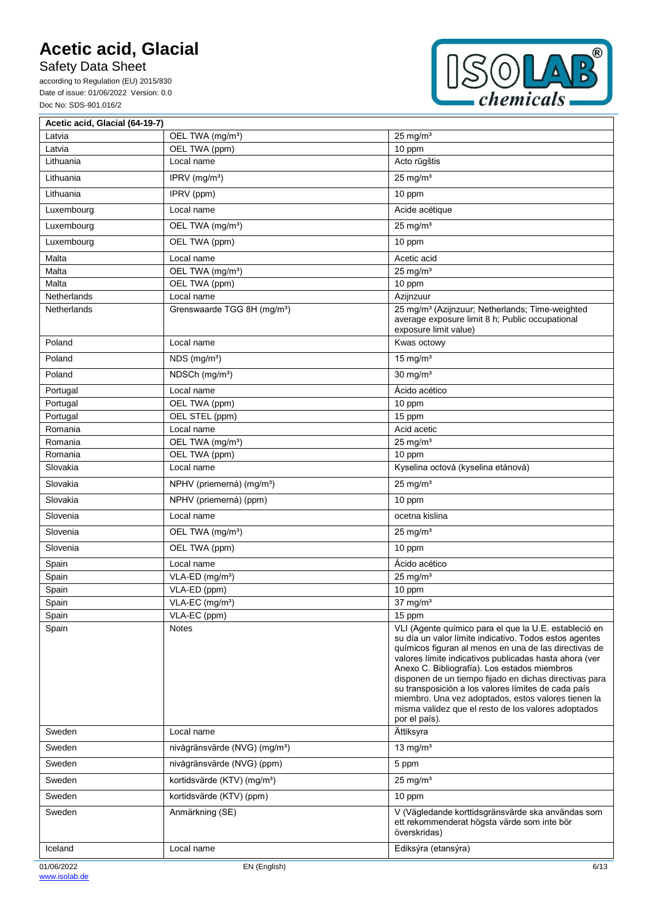Safety Data Sheet

Ē

according to Regulation (EU) 2015/830 Date of issue: 01/06/2022 Version: 0.0 Doc No: SDS-901.016/2



 $\overline{\mathbf{1}}$ 

| Acetic acid, Glacial (64-19-7) |                                           |                                                                                                                                                                                                                                                                                                                                                                                                                                                                                                                                    |
|--------------------------------|-------------------------------------------|------------------------------------------------------------------------------------------------------------------------------------------------------------------------------------------------------------------------------------------------------------------------------------------------------------------------------------------------------------------------------------------------------------------------------------------------------------------------------------------------------------------------------------|
| Latvia                         | OEL TWA (mg/m <sup>3</sup> )              | $25 \text{ mg/m}^3$                                                                                                                                                                                                                                                                                                                                                                                                                                                                                                                |
| Latvia                         | OEL TWA (ppm)                             | 10 ppm                                                                                                                                                                                                                                                                                                                                                                                                                                                                                                                             |
| Lithuania                      | Local name                                | Acto rūgštis                                                                                                                                                                                                                                                                                                                                                                                                                                                                                                                       |
| Lithuania                      | IPRV (mg/m <sup>3</sup> )                 | $25$ mg/m <sup>3</sup>                                                                                                                                                                                                                                                                                                                                                                                                                                                                                                             |
| Lithuania                      | IPRV (ppm)                                | 10 ppm                                                                                                                                                                                                                                                                                                                                                                                                                                                                                                                             |
| Luxembourg                     | Local name                                | Acide acétique                                                                                                                                                                                                                                                                                                                                                                                                                                                                                                                     |
| Luxembourg                     | OEL TWA (mg/m <sup>3</sup> )              | $25$ mg/m <sup>3</sup>                                                                                                                                                                                                                                                                                                                                                                                                                                                                                                             |
| Luxembourg                     | OEL TWA (ppm)                             | 10 ppm                                                                                                                                                                                                                                                                                                                                                                                                                                                                                                                             |
| Malta                          | Local name                                | Acetic acid                                                                                                                                                                                                                                                                                                                                                                                                                                                                                                                        |
| Malta                          | OEL TWA (mg/m <sup>3</sup> )              | $25 \text{ ma/m}^3$                                                                                                                                                                                                                                                                                                                                                                                                                                                                                                                |
| Malta                          | OEL TWA (ppm)                             | 10 ppm                                                                                                                                                                                                                                                                                                                                                                                                                                                                                                                             |
| Netherlands                    | Local name                                | Azijnzuur                                                                                                                                                                                                                                                                                                                                                                                                                                                                                                                          |
| Netherlands                    | Grenswaarde TGG 8H (mg/m <sup>3</sup> )   | 25 mg/m <sup>3</sup> (Azijnzuur; Netherlands; Time-weighted<br>average exposure limit 8 h; Public occupational<br>exposure limit value)                                                                                                                                                                                                                                                                                                                                                                                            |
| Poland                         | Local name                                | Kwas octowy                                                                                                                                                                                                                                                                                                                                                                                                                                                                                                                        |
| Poland                         | NDS (mg/m <sup>3</sup> )                  | 15 mg/ $m3$                                                                                                                                                                                                                                                                                                                                                                                                                                                                                                                        |
| Poland                         | NDSCh (mg/m <sup>3</sup> )                | $30$ mg/m <sup>3</sup>                                                                                                                                                                                                                                                                                                                                                                                                                                                                                                             |
| Portugal                       | Local name                                | Ácido acético                                                                                                                                                                                                                                                                                                                                                                                                                                                                                                                      |
| Portugal                       | OEL TWA (ppm)                             | 10 ppm                                                                                                                                                                                                                                                                                                                                                                                                                                                                                                                             |
| Portugal                       | OEL STEL (ppm)                            | 15 ppm                                                                                                                                                                                                                                                                                                                                                                                                                                                                                                                             |
| Romania                        | Local name                                | Acid acetic                                                                                                                                                                                                                                                                                                                                                                                                                                                                                                                        |
| Romania                        | OEL TWA (mg/m <sup>3</sup> )              | $25$ mg/m <sup>3</sup>                                                                                                                                                                                                                                                                                                                                                                                                                                                                                                             |
| Romania                        | OEL TWA (ppm)                             | 10 ppm                                                                                                                                                                                                                                                                                                                                                                                                                                                                                                                             |
| Slovakia                       | Local name                                | Kyselina octová (kyselina etánová)                                                                                                                                                                                                                                                                                                                                                                                                                                                                                                 |
| Slovakia                       | NPHV (priemerná) (mg/m <sup>3</sup> )     | $25$ mg/m <sup>3</sup>                                                                                                                                                                                                                                                                                                                                                                                                                                                                                                             |
| Slovakia                       | NPHV (priemerná) (ppm)                    | 10 ppm                                                                                                                                                                                                                                                                                                                                                                                                                                                                                                                             |
| Slovenia                       | Local name                                | ocetna kislina                                                                                                                                                                                                                                                                                                                                                                                                                                                                                                                     |
| Slovenia                       | OEL TWA (mg/m <sup>3</sup> )              | $25$ mg/m <sup>3</sup>                                                                                                                                                                                                                                                                                                                                                                                                                                                                                                             |
| Slovenia                       | OEL TWA (ppm)                             | 10 ppm                                                                                                                                                                                                                                                                                                                                                                                                                                                                                                                             |
| Spain                          | Local name                                | Ácido acético                                                                                                                                                                                                                                                                                                                                                                                                                                                                                                                      |
| Spain                          | VLA-ED (mg/m <sup>3</sup> )               | $25 \text{ mg/m}^3$                                                                                                                                                                                                                                                                                                                                                                                                                                                                                                                |
| Spain                          | VLA-ED (ppm)                              | 10 ppm                                                                                                                                                                                                                                                                                                                                                                                                                                                                                                                             |
| Spain                          | VLA-EC (mg/m <sup>3</sup> )               | $37$ mg/m <sup>3</sup>                                                                                                                                                                                                                                                                                                                                                                                                                                                                                                             |
| Spain                          | VLA-EC (ppm)                              | 15 ppm                                                                                                                                                                                                                                                                                                                                                                                                                                                                                                                             |
| Spain                          | <b>Notes</b>                              | VLI (Agente químico para el que la U.E. estableció en<br>su día un valor límite indicativo. Todos estos agentes<br>químicos figuran al menos en una de las directivas de<br>valores límite indicativos publicadas hasta ahora (ver<br>Anexo C. Bibliografía). Los estados miembros<br>disponen de un tiempo fijado en dichas directivas para<br>su transposición a los valores límites de cada país<br>miembro. Una vez adoptados, estos valores tienen la<br>misma validez que el resto de los valores adoptados<br>por el país). |
| Sweden                         | Local name                                | Ättiksyra                                                                                                                                                                                                                                                                                                                                                                                                                                                                                                                          |
| Sweden                         | nivågränsvärde (NVG) (mg/m <sup>3</sup> ) | 13 mg/ $m3$                                                                                                                                                                                                                                                                                                                                                                                                                                                                                                                        |
| Sweden                         | nivågränsvärde (NVG) (ppm)                | 5 ppm                                                                                                                                                                                                                                                                                                                                                                                                                                                                                                                              |
| Sweden                         | kortidsvärde (KTV) (mg/m <sup>3</sup> )   | $25$ mg/m <sup>3</sup>                                                                                                                                                                                                                                                                                                                                                                                                                                                                                                             |
| Sweden                         | kortidsvärde (KTV) (ppm)                  | 10 ppm                                                                                                                                                                                                                                                                                                                                                                                                                                                                                                                             |
| Sweden                         | Anmärkning (SE)                           | V (Vägledande korttidsgränsvärde ska användas som<br>ett rekommenderat högsta värde som inte bör<br>överskridas)                                                                                                                                                                                                                                                                                                                                                                                                                   |
| Iceland                        | Local name                                | Ediksýra (etansýra)                                                                                                                                                                                                                                                                                                                                                                                                                                                                                                                |
| 01/06/2022                     | EN (English)                              | 6/13                                                                                                                                                                                                                                                                                                                                                                                                                                                                                                                               |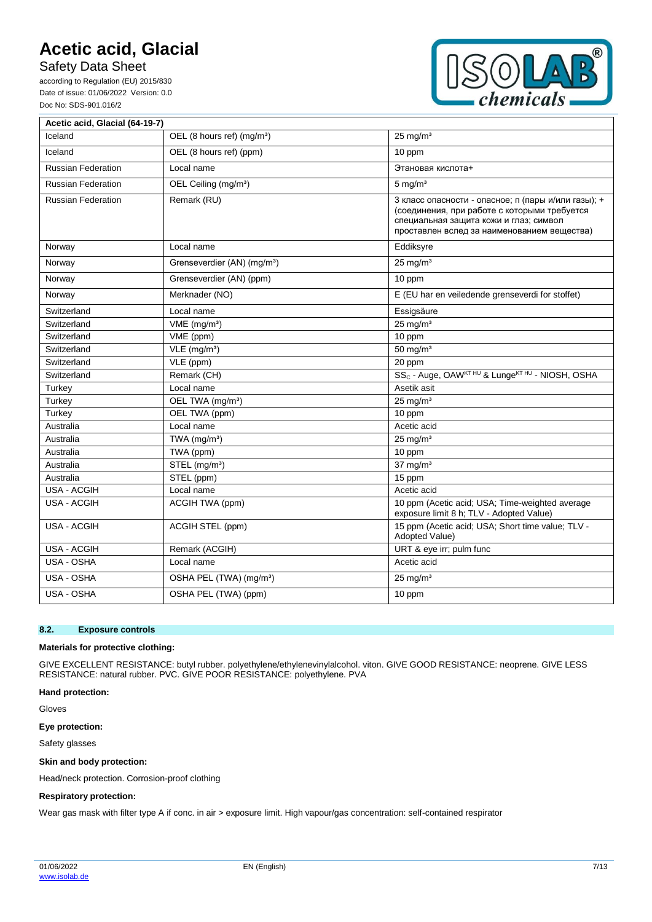Safety Data Sheet

according to Regulation (EU) 2015/830 Date of issue: 01/06/2022 Version: 0.0 Doc No: SDS-901.016/2



| Acetic acid, Glacial (64-19-7) |                                         |                                                                                                                                                                                              |
|--------------------------------|-----------------------------------------|----------------------------------------------------------------------------------------------------------------------------------------------------------------------------------------------|
| Iceland                        | OEL (8 hours ref) (mg/m <sup>3</sup> )  | $25 \text{ mg/m}^3$                                                                                                                                                                          |
| Iceland                        | OEL (8 hours ref) (ppm)                 | 10 ppm                                                                                                                                                                                       |
| <b>Russian Federation</b>      | Local name                              | Этановая кислота+                                                                                                                                                                            |
| <b>Russian Federation</b>      | OEL Ceiling (mg/m <sup>3</sup> )        | $5 \text{ mg/m}^3$                                                                                                                                                                           |
| <b>Russian Federation</b>      | Remark (RU)                             | 3 класс опасности - опасное; п (пары и/или газы); +<br>(соединения, при работе с которыми требуется<br>специальная защита кожи и глаз; символ<br>проставлен вслед за наименованием вещества) |
| Norway                         | Local name                              | Eddiksyre                                                                                                                                                                                    |
| Norway                         | Grenseverdier (AN) (mg/m <sup>3</sup> ) | $25 \text{ mg/m}^3$                                                                                                                                                                          |
| Norway                         | Grenseverdier (AN) (ppm)                | 10 ppm                                                                                                                                                                                       |
| Norway                         | Merknader (NO)                          | E (EU har en veiledende grenseverdi for stoffet)                                                                                                                                             |
| Switzerland                    | Local name                              | Essigsäure                                                                                                                                                                                   |
| Switzerland                    | $VME$ (mg/m <sup>3</sup> )              | $25$ mg/m <sup>3</sup>                                                                                                                                                                       |
| Switzerland                    | VME (ppm)                               | 10 ppm                                                                                                                                                                                       |
| Switzerland                    | $VLE$ (mg/m <sup>3</sup> )              | 50 mg/ $m3$                                                                                                                                                                                  |
| Switzerland                    | VLE (ppm)                               | 20 ppm                                                                                                                                                                                       |
| Switzerland                    | Remark (CH)                             | SS <sub>c</sub> - Auge, OAW <sup>KT HU</sup> & Lunge <sup>KT HU</sup> - NIOSH, OSHA                                                                                                          |
| Turkey                         | Local name                              | Asetik asit                                                                                                                                                                                  |
| Turkey                         | OEL TWA (mg/m <sup>3</sup> )            | $25$ mg/m <sup>3</sup>                                                                                                                                                                       |
| Turkey                         | OEL TWA (ppm)                           | 10 ppm                                                                                                                                                                                       |
| Australia                      | Local name                              | Acetic acid                                                                                                                                                                                  |
| Australia                      | TWA $(mg/m3)$                           | $25$ mg/m <sup>3</sup>                                                                                                                                                                       |
| Australia                      | TWA (ppm)                               | 10 ppm                                                                                                                                                                                       |
| Australia                      | STEL (mg/m <sup>3</sup> )               | $37 \text{ mg/m}^3$                                                                                                                                                                          |
| Australia                      | STEL (ppm)                              | 15 ppm                                                                                                                                                                                       |
| <b>USA - ACGIH</b>             | Local name                              | Acetic acid                                                                                                                                                                                  |
| USA - ACGIH                    | ACGIH TWA (ppm)                         | 10 ppm (Acetic acid; USA; Time-weighted average<br>exposure limit 8 h; TLV - Adopted Value)                                                                                                  |
| USA - ACGIH                    | ACGIH STEL (ppm)                        | 15 ppm (Acetic acid; USA; Short time value; TLV -<br>Adopted Value)                                                                                                                          |
| <b>USA - ACGIH</b>             | Remark (ACGIH)                          | URT & eye irr; pulm func                                                                                                                                                                     |
| USA - OSHA                     | Local name                              | Acetic acid                                                                                                                                                                                  |
| USA - OSHA                     | OSHA PEL (TWA) (mg/m <sup>3</sup> )     | $25 \text{ mg/m}^3$                                                                                                                                                                          |
| USA - OSHA                     | OSHA PEL (TWA) (ppm)                    | 10 ppm                                                                                                                                                                                       |

#### **8.2. Exposure controls**

#### **Materials for protective clothing:**

GIVE EXCELLENT RESISTANCE: butyl rubber. polyethylene/ethylenevinylalcohol. viton. GIVE GOOD RESISTANCE: neoprene. GIVE LESS RESISTANCE: natural rubber. PVC. GIVE POOR RESISTANCE: polyethylene. PVA

#### **Hand protection:**

Gloves

**Eye protection:**

Safety glasses

#### **Skin and body protection:**

Head/neck protection. Corrosion-proof clothing

#### **Respiratory protection:**

Wear gas mask with filter type A if conc. in air > exposure limit. High vapour/gas concentration: self-contained respirator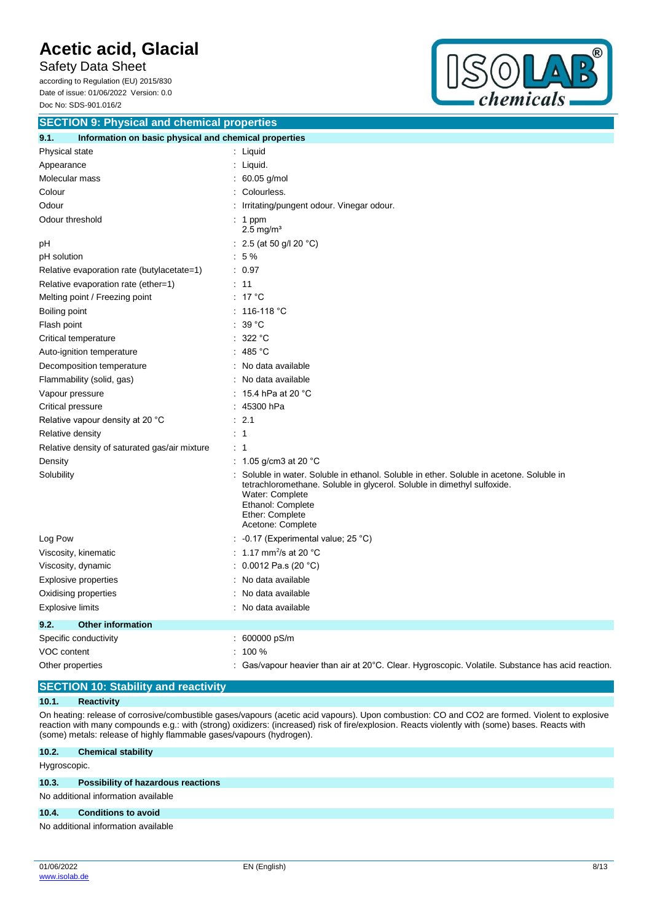Safety Data Sheet according to Regulation (EU) 2015/830

Date of issue: 01/06/2022 Version: 0.0 Doc No: SDS-901.016/2



| <b>SECTION 9: Physical and chemical properties</b>            |                                                                                                                                                                                                                                                   |  |  |
|---------------------------------------------------------------|---------------------------------------------------------------------------------------------------------------------------------------------------------------------------------------------------------------------------------------------------|--|--|
| 9.1.<br>Information on basic physical and chemical properties |                                                                                                                                                                                                                                                   |  |  |
| Physical state                                                | : Liquid                                                                                                                                                                                                                                          |  |  |
| Appearance                                                    | Liquid.                                                                                                                                                                                                                                           |  |  |
| Molecular mass                                                | 60.05 g/mol                                                                                                                                                                                                                                       |  |  |
| Colour                                                        | Colourless.                                                                                                                                                                                                                                       |  |  |
| Odour                                                         | Irritating/pungent odour. Vinegar odour.                                                                                                                                                                                                          |  |  |
| Odour threshold                                               | $: 1$ ppm<br>$2.5$ mg/m <sup>3</sup>                                                                                                                                                                                                              |  |  |
| рH                                                            | : 2.5 (at 50 g/l 20 $^{\circ}$ C)                                                                                                                                                                                                                 |  |  |
| pH solution                                                   | $:5\%$                                                                                                                                                                                                                                            |  |  |
| Relative evaporation rate (butylacetate=1)                    | : 0.97                                                                                                                                                                                                                                            |  |  |
| Relative evaporation rate (ether=1)                           | : 11                                                                                                                                                                                                                                              |  |  |
| Melting point / Freezing point                                | : 17 °C                                                                                                                                                                                                                                           |  |  |
| Boiling point                                                 | $: 116-118 °C$                                                                                                                                                                                                                                    |  |  |
| Flash point                                                   | $39^{\circ}$ C                                                                                                                                                                                                                                    |  |  |
| Critical temperature                                          | 322 °C<br>÷                                                                                                                                                                                                                                       |  |  |
| Auto-ignition temperature                                     | 485 °C                                                                                                                                                                                                                                            |  |  |
| Decomposition temperature                                     | No data available                                                                                                                                                                                                                                 |  |  |
| Flammability (solid, gas)                                     | No data available                                                                                                                                                                                                                                 |  |  |
| Vapour pressure                                               | 15.4 hPa at 20 °C                                                                                                                                                                                                                                 |  |  |
| Critical pressure                                             | 45300 hPa                                                                                                                                                                                                                                         |  |  |
| Relative vapour density at 20 °C                              | 2.1<br>÷                                                                                                                                                                                                                                          |  |  |
| Relative density                                              | $\overline{1}$                                                                                                                                                                                                                                    |  |  |
| Relative density of saturated gas/air mixture                 | : 1                                                                                                                                                                                                                                               |  |  |
| Density                                                       | 1.05 g/cm3 at 20 $^{\circ}$ C                                                                                                                                                                                                                     |  |  |
| Solubility                                                    | Soluble in water. Soluble in ethanol. Soluble in ether. Soluble in acetone. Soluble in<br>tetrachloromethane. Soluble in glycerol. Soluble in dimethyl sulfoxide.<br>Water: Complete<br>Ethanol: Complete<br>Ether: Complete<br>Acetone: Complete |  |  |
| Log Pow                                                       | : -0.17 (Experimental value; 25 °C)                                                                                                                                                                                                               |  |  |
| Viscosity, kinematic                                          | : 1.17 mm <sup>2</sup> /s at 20 $^{\circ}$ C                                                                                                                                                                                                      |  |  |
| Viscosity, dynamic                                            | 0.0012 Pa.s (20 $°C$ )                                                                                                                                                                                                                            |  |  |
| Explosive properties                                          | No data available                                                                                                                                                                                                                                 |  |  |
| Oxidising properties                                          | No data available                                                                                                                                                                                                                                 |  |  |
| <b>Explosive limits</b>                                       | No data available                                                                                                                                                                                                                                 |  |  |
| 9.2.<br><b>Other information</b>                              |                                                                                                                                                                                                                                                   |  |  |
| Specific conductivity                                         | 600000 pS/m                                                                                                                                                                                                                                       |  |  |
| VOC content                                                   | 100 %                                                                                                                                                                                                                                             |  |  |
| Other properties                                              | Gas/vapour heavier than air at 20°C. Clear. Hygroscopic. Volatile. Substance has acid reaction.                                                                                                                                                   |  |  |

### **SECTION 10: Stability and reactivity**

### **10.1. Reactivity**

On heating: release of corrosive/combustible gases/vapours (acetic acid vapours). Upon combustion: CO and CO2 are formed. Violent to explosive reaction with many compounds e.g.: with (strong) oxidizers: (increased) risk of fire/explosion. Reacts violently with (some) bases. Reacts with (some) metals: release of highly flammable gases/vapours (hydrogen).

### **10.2. Chemical stability**

Hygroscopic.

#### **10.3. Possibility of hazardous reactions**

No additional information available

#### **10.4. Conditions to avoid**

No additional information available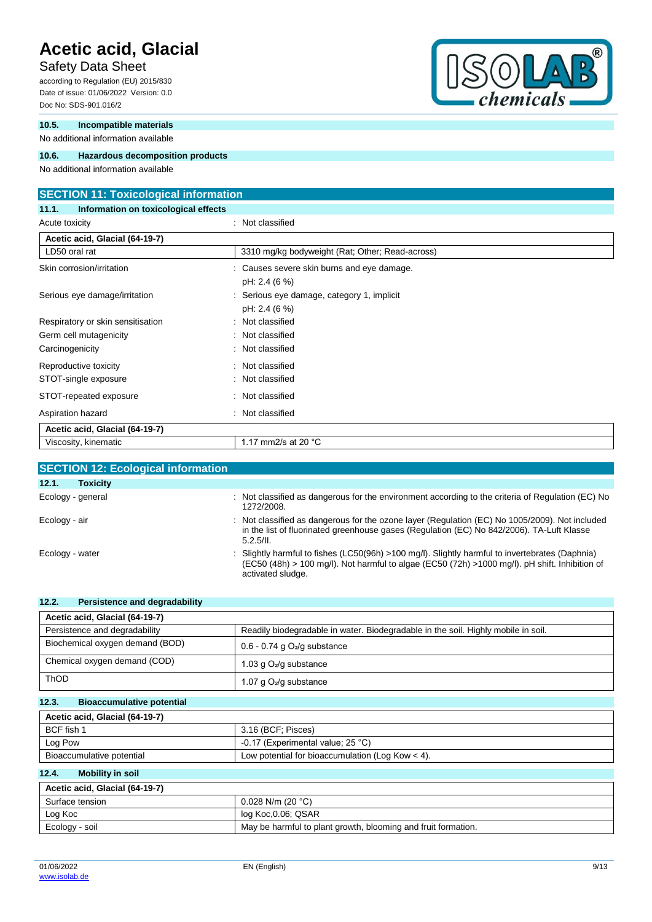### Safety Data Sheet

according to Regulation (EU) 2015/830 Date of issue: 01/06/2022 Version: 0.0 Doc No: SDS-901.016/2

### **10.5. Incompatible materials**

No additional information available

### **10.6. Hazardous decomposition products**

No additional information available

### **SECTION 11: Toxicological information**

**11.1. Information on toxicological effects** Acute toxicity **in the case of the contract of the case of the contract of the contract of the contract of the contract of the contract of the contract of the contract of the contract of the contract of the contract of the** 

| Acetic acid, Glacial (64-19-7)    |                                                                |
|-----------------------------------|----------------------------------------------------------------|
| LD50 oral rat                     | 3310 mg/kg bodyweight (Rat; Other; Read-across)                |
| Skin corrosion/irritation         | : Causes severe skin burns and eye damage.<br>pH: 2.4 (6 %)    |
| Serious eye damage/irritation     | Serious eye damage, category 1, implicit<br>÷<br>pH: 2.4 (6 %) |
| Respiratory or skin sensitisation | : Not classified                                               |
| Germ cell mutagenicity            | : Not classified                                               |
| Carcinogenicity                   | : Not classified                                               |
| Reproductive toxicity             | Not classified<br>÷.                                           |
| STOT-single exposure              | Not classified                                                 |
| STOT-repeated exposure            | : Not classified                                               |
| Aspiration hazard                 | Not classified<br>÷                                            |
| Acetic acid, Glacial (64-19-7)    |                                                                |
| Viscosity, kinematic              | 1.17 mm2/s at 20 $^{\circ}$ C                                  |

| <b>SECTION 12: Ecological information</b> |                                                                                                                                                                                                                      |
|-------------------------------------------|----------------------------------------------------------------------------------------------------------------------------------------------------------------------------------------------------------------------|
| 12.1.<br><b>Toxicity</b>                  |                                                                                                                                                                                                                      |
| Ecology - general                         | Not classified as dangerous for the environment according to the criteria of Regulation (EC) No<br>1272/2008.                                                                                                        |
| Ecology - air                             | : Not classified as dangerous for the ozone layer (Regulation (EC) No 1005/2009). Not included<br>in the list of fluorinated greenhouse gases (Regulation (EC) No 842/2006). TA-Luft Klasse<br>5.2.5/II.             |
| Ecology - water                           | Slightly harmful to fishes (LC50(96h) >100 mg/l). Slightly harmful to invertebrates (Daphnia)<br>(EC50 (48h) > 100 mg/l). Not harmful to algae (EC50 (72h) >1000 mg/l). pH shift. Inhibition of<br>activated sludge. |

| 12.2.<br>Persistence and degradability    |                                                                                   |
|-------------------------------------------|-----------------------------------------------------------------------------------|
| Acetic acid, Glacial (64-19-7)            |                                                                                   |
| Persistence and degradability             | Readily biodegradable in water. Biodegradable in the soil. Highly mobile in soil. |
| Biochemical oxygen demand (BOD)           | $0.6 - 0.74$ g $O2/g$ substance                                                   |
| Chemical oxygen demand (COD)              | 1.03 g $O_2$ /g substance                                                         |
| <b>ThOD</b>                               | 1.07 g $O_2$ /g substance                                                         |
| 12.3.<br><b>Bioaccumulative potential</b> |                                                                                   |

| Acetic acid, Glacial (64-19-7) |                                                    |  |
|--------------------------------|----------------------------------------------------|--|
| BCF fish 1                     | 3.16 (BCF: Pisces)                                 |  |
| Log Pow                        | -0.17 (Experimental value; $25^{\circ}$ C)         |  |
| Bioaccumulative potential      | Low potential for bioaccumulation (Log Kow $<$ 4). |  |

### **12.4. Mobility in soil**

| Acetic acid, Glacial (64-19-7) |                                                               |  |
|--------------------------------|---------------------------------------------------------------|--|
| Surface tension                | $0.028$ N/m (20 °C)                                           |  |
| Log Koc                        | log Koc,0.06; QSAR                                            |  |
| Ecology - soil                 | May be harmful to plant growth, blooming and fruit formation. |  |

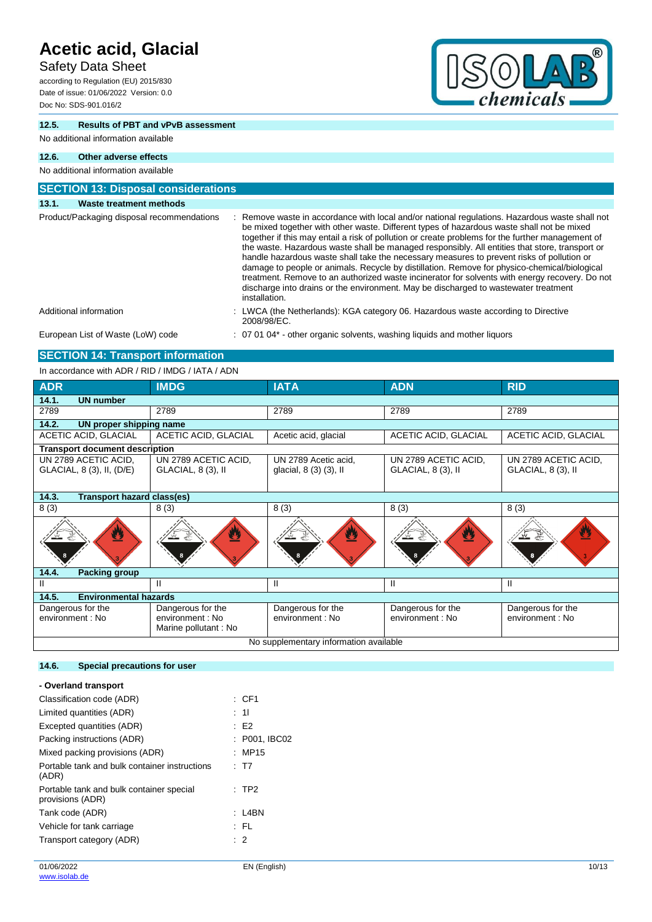### Safety Data Sheet

according to Regulation (EU) 2015/830 Date of issue: 01/06/2022 Version: 0.0 Doc No: SDS-901.016/2



### **12.5. Results of PBT and vPvB assessment**

No additional information available

### **12.6. Other adverse effects**

#### No additional information available **SECTION 13: Disposal considerations 13.1. Waste treatment methods** Product/Packaging disposal recommendations : Remove waste in accordance with local and/or national regulations. Hazardous waste shall not be mixed together with other waste. Different types of hazardous waste shall not be mixed together if this may entail a risk of pollution or create problems for the further management of the waste. Hazardous waste shall be managed responsibly. All entities that store, transport or handle hazardous waste shall take the necessary measures to prevent risks of pollution or damage to people or animals. Recycle by distillation. Remove for physico-chemical/biological treatment. Remove to an authorized waste incinerator for solvents with energy recovery. Do not discharge into drains or the environment. May be discharged to wastewater treatment installation. Additional information **information** : LWCA (the Netherlands): KGA category 06. Hazardous waste according to Directive 2008/98/EC. European List of Waste (LoW) code : 07 01 04\* - other organic solvents, washing liquids and mother liquors

### **SECTION 14: Transport information**

In accordance with ADR / RID / IMDG / IATA / ADN

| <b>ADR</b>                                        | <b>IMDG</b>                                                   | <b>IATA</b>                                    | <b>ADN</b>                                 | <b>RID</b>                                 |
|---------------------------------------------------|---------------------------------------------------------------|------------------------------------------------|--------------------------------------------|--------------------------------------------|
| 14.1.<br><b>UN number</b>                         |                                                               |                                                |                                            |                                            |
| 2789                                              | 2789                                                          | 2789                                           | 2789                                       | 2789                                       |
| 14.2.<br>UN proper shipping name                  |                                                               |                                                |                                            |                                            |
| ACETIC ACID, GLACIAL                              | ACETIC ACID, GLACIAL                                          | Acetic acid, glacial                           | <b>ACETIC ACID, GLACIAL</b>                | <b>ACETIC ACID, GLACIAL</b>                |
| <b>Transport document description</b>             |                                                               |                                                |                                            |                                            |
| UN 2789 ACETIC ACID.<br>GLACIAL, 8 (3), II, (D/E) | UN 2789 ACETIC ACID,<br>GLACIAL, 8 (3), II                    | UN 2789 Acetic acid.<br>glacial, 8 (3) (3), II | UN 2789 ACETIC ACID,<br>GLACIAL, 8 (3), II | UN 2789 ACETIC ACID,<br>GLACIAL, 8 (3), II |
| 14.3.<br><b>Transport hazard class(es)</b>        |                                                               |                                                |                                            |                                            |
| 8(3)                                              | 8(3)                                                          | 8(3)                                           | 8(3)                                       | 8(3)                                       |
| Ø                                                 |                                                               | $\bf{z}$                                       | Ø                                          | Ø                                          |
| 14.4.                                             | <b>Packing group</b>                                          |                                                |                                            |                                            |
| Ш                                                 | Ш                                                             | Ш                                              | Ш                                          | Ш                                          |
| <b>Environmental hazards</b><br>14.5.             |                                                               |                                                |                                            |                                            |
| Dangerous for the<br>environment : No             | Dangerous for the<br>environment : No<br>Marine pollutant: No | Dangerous for the<br>environment: No           | Dangerous for the<br>environment : No      | Dangerous for the<br>environment : No      |
| No supplementary information available            |                                                               |                                                |                                            |                                            |

### **14.6. Special precautions for user**

| $\therefore$ CF1 |
|------------------|
| : 11             |
| : E2             |
| : P001, IBC02    |
| : MP15           |
| : T7             |
| $:$ TP2          |
| $: 14$ BN        |
| : FL             |
| $\therefore$ 2   |
|                  |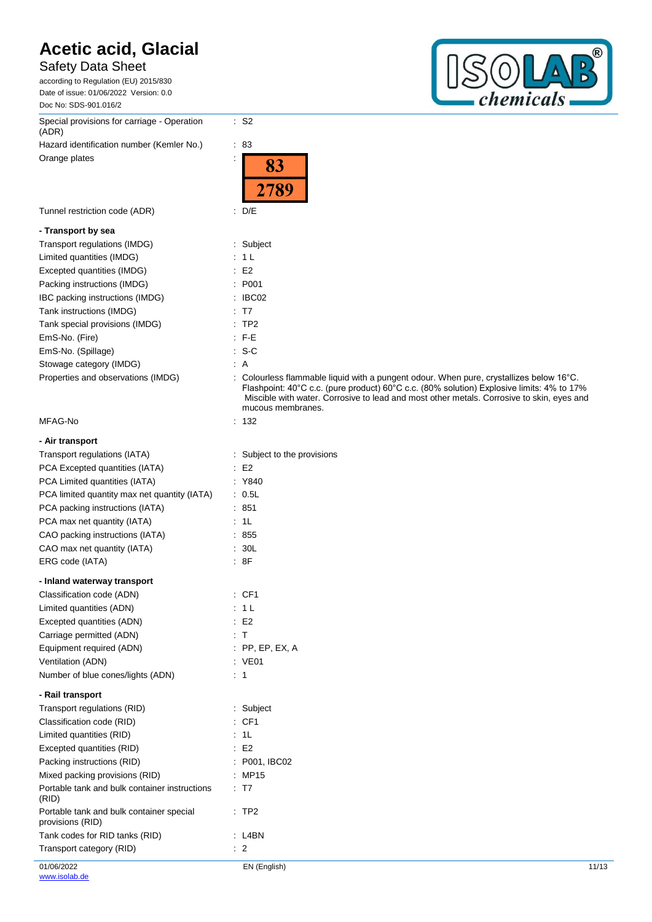### Safety Data Sheet

according to Regulation (EU) 2015/830 Date of issue: 01/06/2022 Version: 0.0 Doc No: SDS-901.016/2

Special provisions for carriage - Operation (ADR) Hazard identification number (Kemler No.) : 83

Orange plates in the state of the state of the state of the state of the state of the state of the state of the state of the state of the state of the state of the state of the state of the state of the state of the state

### **- Transport by sea**

| Transport regulations (IMDG)       | : Subject          |
|------------------------------------|--------------------|
| Limited quantities (IMDG)          | : 1L               |
| Excepted quantities (IMDG)         | E2                 |
| Packing instructions (IMDG)        | : P <sub>001</sub> |
| IBC packing instructions (IMDG)    | : IBCO2            |
| Tank instructions (IMDG)           | : T7               |
| Tank special provisions (IMDG)     | $:$ TP2            |
| EmS-No. (Fire)                     | $\pm$ F-E          |
| EmS-No. (Spillage)                 | $: S-C$            |
| Stowage category (IMDG)            | : A                |
| Properties and observations (IMDG) | : Colourl          |

### MFAG-No

### **- Air transport**

| Transport regulations (IATA)<br>PCA Excepted quantities (IATA)<br>PCA Limited quantities (IATA)<br>PCA limited quantity max net quantity (IATA)<br>PCA packing instructions (IATA)<br>PCA max net quantity (IATA)<br>CAO packing instructions (IATA)<br>CAO max net quantity (IATA)<br>ERG code (IATA) | Subject to the<br>E <sub>2</sub><br>: Y840<br>: 0.5L<br>851<br>1L<br>: 855<br>30L<br>:8F |
|--------------------------------------------------------------------------------------------------------------------------------------------------------------------------------------------------------------------------------------------------------------------------------------------------------|------------------------------------------------------------------------------------------|
| - Inland waterway transport                                                                                                                                                                                                                                                                            |                                                                                          |
| Classification code (ADN)                                                                                                                                                                                                                                                                              | : CF1                                                                                    |
| Limited quantities (ADN)                                                                                                                                                                                                                                                                               | 1 <sub>L</sub>                                                                           |
| Excepted quantities (ADN)                                                                                                                                                                                                                                                                              | E <sub>2</sub><br>÷                                                                      |
| Carriage permitted (ADN)                                                                                                                                                                                                                                                                               | $\top$                                                                                   |
| Equipment required (ADN)                                                                                                                                                                                                                                                                               | $:$ PP, EP, EX, A                                                                        |
| Ventilation (ADN)                                                                                                                                                                                                                                                                                      | VE01                                                                                     |
| Number of blue cones/lights (ADN)                                                                                                                                                                                                                                                                      | ÷<br>1                                                                                   |
| - Rail transport                                                                                                                                                                                                                                                                                       |                                                                                          |
| Transport regulations (RID)                                                                                                                                                                                                                                                                            | Subject<br>t.                                                                            |
| Classification code (RID)                                                                                                                                                                                                                                                                              | CF <sub>1</sub>                                                                          |
| Limited quantities (RID)                                                                                                                                                                                                                                                                               | 1L                                                                                       |
| Excepted quantities (RID)                                                                                                                                                                                                                                                                              | ÷<br>E <sub>2</sub>                                                                      |
| Packing instructions (RID)                                                                                                                                                                                                                                                                             | : P001, IBC02                                                                            |
| Mixed packing provisions (RID)                                                                                                                                                                                                                                                                         | <b>MP15</b>                                                                              |
| Portable tank and bulk container instructions<br>(RID)                                                                                                                                                                                                                                                 | T7<br>÷                                                                                  |
| Portable tank and bulk container special<br>provisions (RID)                                                                                                                                                                                                                                           | TP <sub>2</sub>                                                                          |
| Tank codes for RID tanks (RID)                                                                                                                                                                                                                                                                         | L <sub>4</sub> BN<br>t                                                                   |
| Transport category (RID)                                                                                                                                                                                                                                                                               | $\overline{2}$<br>÷                                                                      |



|                                    | <i>LIOJ</i>                                                                                                                                                                                                                                                                                                      |
|------------------------------------|------------------------------------------------------------------------------------------------------------------------------------------------------------------------------------------------------------------------------------------------------------------------------------------------------------------|
| Tunnel restriction code (ADR)      | : D/E                                                                                                                                                                                                                                                                                                            |
| - Transport by sea                 |                                                                                                                                                                                                                                                                                                                  |
| Transport regulations (IMDG)       | : Subject                                                                                                                                                                                                                                                                                                        |
| Limited quantities (IMDG)          | : 1 L                                                                                                                                                                                                                                                                                                            |
| Excepted quantities (IMDG)         | E2                                                                                                                                                                                                                                                                                                               |
| Packing instructions (IMDG)        | : P001                                                                                                                                                                                                                                                                                                           |
| IBC packing instructions (IMDG)    | : IBCO2                                                                                                                                                                                                                                                                                                          |
| Tank instructions (IMDG)           | $\therefore$ T7                                                                                                                                                                                                                                                                                                  |
| Tank special provisions (IMDG)     | : TP2                                                                                                                                                                                                                                                                                                            |
| EmS-No. (Fire)                     | $E = FE$                                                                                                                                                                                                                                                                                                         |
| EmS-No. (Spillage)                 | $: S-C$                                                                                                                                                                                                                                                                                                          |
| Stowage category (IMDG)            | : A                                                                                                                                                                                                                                                                                                              |
| Properties and observations (IMDG) | : Colourless flammable liquid with a pungent odour. When pure, crystallizes below $16^{\circ}$ C.<br>Flashpoint: 40°C c.c. (pure product) 60°C c.c. (80% solution) Explosive limits: 4% to 17%<br>Miscible with water. Corrosive to lead and most other metals. Corrosive to skin, eyes and<br>mucous membranes. |
| MFAG-No                            | : 132                                                                                                                                                                                                                                                                                                            |
| - Air transport                    |                                                                                                                                                                                                                                                                                                                  |
| Transport regulations (IATA)       | : Subject to the provisions                                                                                                                                                                                                                                                                                      |

|   |        |  |  | ٠ |  |  |
|---|--------|--|--|---|--|--|
|   |        |  |  |   |  |  |
| ٠ | ົ<br>- |  |  |   |  |  |

: S2

83

- 
- 
-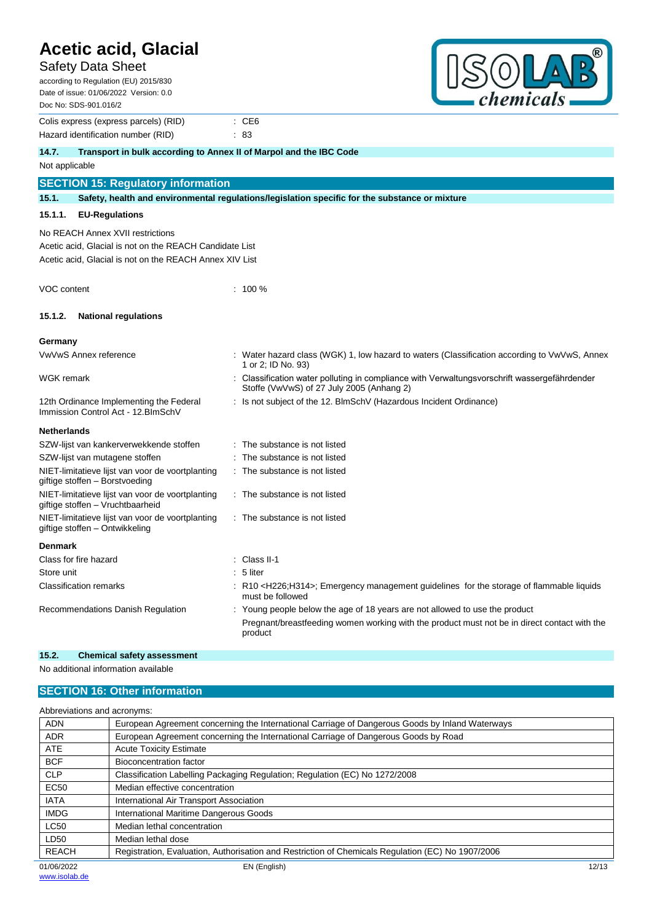### Safety Data Sheet

| <b>Acetic acid, Glacial</b><br><b>Safety Data Sheet</b><br>according to Regulation (EU) 2015/830<br>Date of issue: 01/06/2022 Version: 0.0<br>Doc No: SDS-901.016/2 |                                                                                                                                                                                      | chemicals                                                                                    |  |  |  |
|---------------------------------------------------------------------------------------------------------------------------------------------------------------------|--------------------------------------------------------------------------------------------------------------------------------------------------------------------------------------|----------------------------------------------------------------------------------------------|--|--|--|
| Colis express (express parcels) (RID)<br>Hazard identification number (RID)                                                                                         | $\therefore$ CE6<br>$\therefore 83$                                                                                                                                                  |                                                                                              |  |  |  |
| 14.7.<br>Transport in bulk according to Annex II of Marpol and the IBC Code                                                                                         |                                                                                                                                                                                      |                                                                                              |  |  |  |
| Not applicable                                                                                                                                                      |                                                                                                                                                                                      |                                                                                              |  |  |  |
| <b>SECTION 15: Regulatory information</b>                                                                                                                           |                                                                                                                                                                                      |                                                                                              |  |  |  |
| 15.1.                                                                                                                                                               | Safety, health and environmental regulations/legislation specific for the substance or mixture                                                                                       |                                                                                              |  |  |  |
| 15.1.1.<br><b>EU-Regulations</b>                                                                                                                                    |                                                                                                                                                                                      |                                                                                              |  |  |  |
| No REACH Annex XVII restrictions<br>Acetic acid, Glacial is not on the REACH Candidate List<br>Acetic acid, Glacial is not on the REACH Annex XIV List              |                                                                                                                                                                                      |                                                                                              |  |  |  |
| VOC content                                                                                                                                                         | $: 100 \%$                                                                                                                                                                           |                                                                                              |  |  |  |
| <b>National regulations</b><br>15.1.2.                                                                                                                              |                                                                                                                                                                                      |                                                                                              |  |  |  |
| Germany                                                                                                                                                             |                                                                                                                                                                                      |                                                                                              |  |  |  |
| <b>VwVwS Annex reference</b>                                                                                                                                        | 1 or 2; ID No. 93)                                                                                                                                                                   | : Water hazard class (WGK) 1, low hazard to waters (Classification according to VwVwS, Annex |  |  |  |
| WGK remark                                                                                                                                                          | Classification water polluting in compliance with Verwaltungsvorschrift wassergefährdender<br>Stoffe (VwVwS) of 27 July 2005 (Anhang 2)                                              |                                                                                              |  |  |  |
| 12th Ordinance Implementing the Federal<br>Immission Control Act - 12. BlmSchV                                                                                      | : Is not subject of the 12. BImSchV (Hazardous Incident Ordinance)                                                                                                                   |                                                                                              |  |  |  |
| <b>Netherlands</b>                                                                                                                                                  |                                                                                                                                                                                      |                                                                                              |  |  |  |
| SZW-lijst van kankerverwekkende stoffen                                                                                                                             | : The substance is not listed                                                                                                                                                        |                                                                                              |  |  |  |
| SZW-lijst van mutagene stoffen                                                                                                                                      | The substance is not listed                                                                                                                                                          |                                                                                              |  |  |  |
| NIET-limitatieve lijst van voor de voortplanting<br>giftige stoffen - Borstvoeding                                                                                  | The substance is not listed                                                                                                                                                          |                                                                                              |  |  |  |
| NIET-limitatieve lijst van voor de voortplanting<br>giftige stoffen - Vruchtbaarheid                                                                                | : The substance is not listed                                                                                                                                                        |                                                                                              |  |  |  |
| NIET-limitatieve lijst van voor de voortplanting<br>giftige stoffen - Ontwikkeling                                                                                  | : The substance is not listed                                                                                                                                                        |                                                                                              |  |  |  |
| <b>Denmark</b>                                                                                                                                                      |                                                                                                                                                                                      |                                                                                              |  |  |  |
| Class for fire hazard                                                                                                                                               | Class II-1                                                                                                                                                                           |                                                                                              |  |  |  |
| Store unit                                                                                                                                                          | 5 liter                                                                                                                                                                              |                                                                                              |  |  |  |
| <b>Classification remarks</b>                                                                                                                                       | : R10 <h226;h314>; Emergency management guidelines for the storage of flammable liquids<br/>must be followed</h226;h314>                                                             |                                                                                              |  |  |  |
| Recommendations Danish Regulation                                                                                                                                   | Young people below the age of 18 years are not allowed to use the product<br>Pregnant/breastfeeding women working with the product must not be in direct contact with the<br>product |                                                                                              |  |  |  |

### **15.2. Chemical safety assessment**

No additional information available

### **SECTION 16: Other information**

| Abbreviations and acronyms: |                                                                                                   |       |
|-----------------------------|---------------------------------------------------------------------------------------------------|-------|
| <b>ADN</b>                  | European Agreement concerning the International Carriage of Dangerous Goods by Inland Waterways   |       |
| <b>ADR</b>                  | European Agreement concerning the International Carriage of Dangerous Goods by Road               |       |
| <b>ATE</b>                  | <b>Acute Toxicity Estimate</b>                                                                    |       |
| <b>BCF</b>                  | <b>Bioconcentration factor</b>                                                                    |       |
| <b>CLP</b>                  | Classification Labelling Packaging Regulation; Regulation (EC) No 1272/2008                       |       |
| <b>EC50</b>                 | Median effective concentration                                                                    |       |
| <b>IATA</b>                 | International Air Transport Association                                                           |       |
| <b>IMDG</b>                 | International Maritime Dangerous Goods                                                            |       |
| <b>LC50</b>                 | Median lethal concentration                                                                       |       |
| LD50                        | Median lethal dose                                                                                |       |
| <b>REACH</b>                | Registration, Evaluation, Authorisation and Restriction of Chemicals Regulation (EC) No 1907/2006 |       |
| 01/06/2022                  | EN (English)                                                                                      | 12/13 |